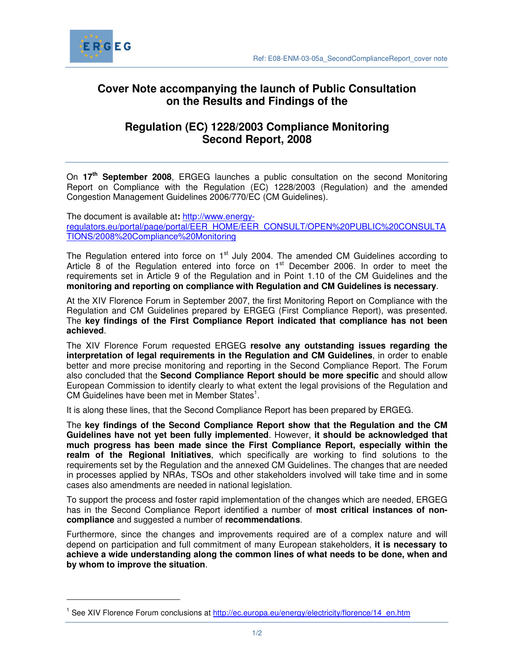

 $\overline{a}$ 

## **Cover Note accompanying the launch of Public Consultation on the Results and Findings of the**

## **Regulation (EC) 1228/2003 Compliance Monitoring Second Report, 2008**

On **17th September 2008**, ERGEG launches a public consultation on the second Monitoring Report on Compliance with the Regulation (EC) 1228/2003 (Regulation) and the amended Congestion Management Guidelines 2006/770/EC (CM Guidelines).

The document is available at**:** http://www.energyregulators.eu/portal/page/portal/EER\_HOME/EER\_CONSULT/OPEN%20PUBLIC%20CONSULTA TIONS/2008%20Compliance%20Monitoring

The Regulation entered into force on 1<sup>st</sup> July 2004. The amended CM Guidelines according to Article 8 of the Regulation entered into force on 1<sup>st</sup> December 2006. In order to meet the requirements set in Article 9 of the Regulation and in Point 1.10 of the CM Guidelines and the **monitoring and reporting on compliance with Regulation and CM Guidelines is necessary**.

At the XIV Florence Forum in September 2007, the first Monitoring Report on Compliance with the Regulation and CM Guidelines prepared by ERGEG (First Compliance Report), was presented. The **key findings of the First Compliance Report indicated that compliance has not been achieved**.

The XIV Florence Forum requested ERGEG **resolve any outstanding issues regarding the interpretation of legal requirements in the Regulation and CM Guidelines**, in order to enable better and more precise monitoring and reporting in the Second Compliance Report. The Forum also concluded that the **Second Compliance Report should be more specific** and should allow European Commission to identify clearly to what extent the legal provisions of the Regulation and CM Guidelines have been met in Member States<sup>1</sup>.

It is along these lines, that the Second Compliance Report has been prepared by ERGEG.

The **key findings of the Second Compliance Report show that the Regulation and the CM Guidelines have not yet been fully implemented**. However, **it should be acknowledged that much progress has been made since the First Compliance Report, especially within the realm of the Regional Initiatives**, which specifically are working to find solutions to the requirements set by the Regulation and the annexed CM Guidelines. The changes that are needed in processes applied by NRAs, TSOs and other stakeholders involved will take time and in some cases also amendments are needed in national legislation.

To support the process and foster rapid implementation of the changes which are needed, ERGEG has in the Second Compliance Report identified a number of **most critical instances of noncompliance** and suggested a number of **recommendations**.

Furthermore, since the changes and improvements required are of a complex nature and will depend on participation and full commitment of many European stakeholders, **it is necessary to achieve a wide understanding along the common lines of what needs to be done, when and by whom to improve the situation**.

<sup>&</sup>lt;sup>1</sup> See XIV Florence Forum conclusions at http://ec.europa.eu/energy/electricity/florence/14\_en.htm